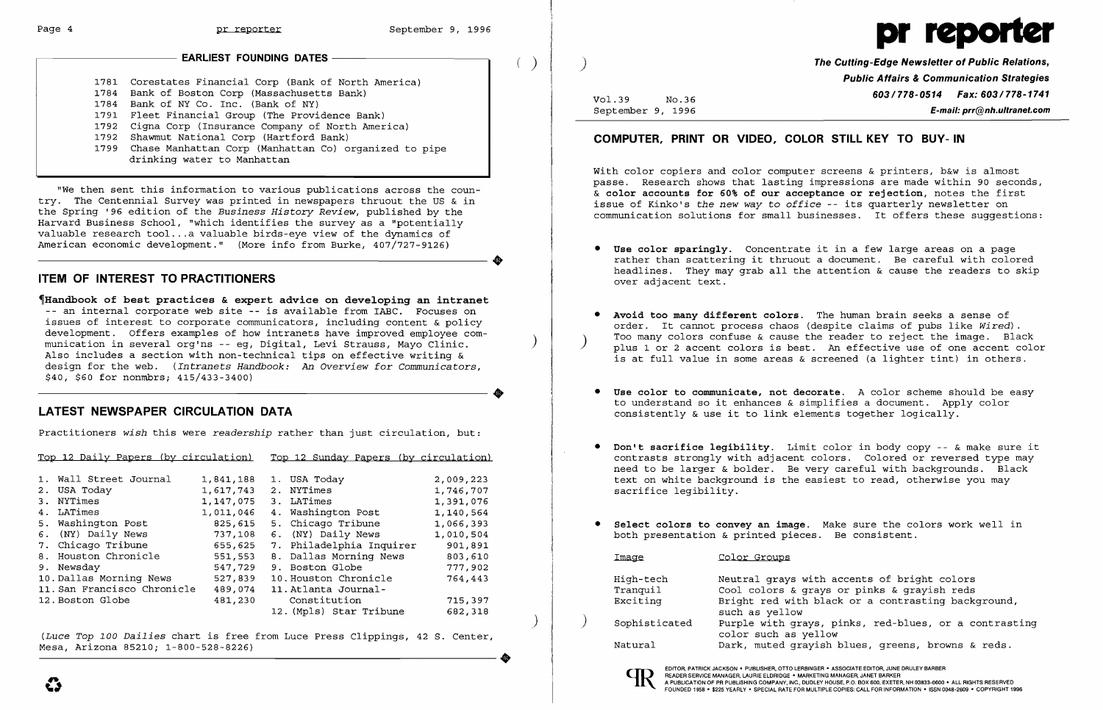#### EARLIEST FOUNDING DATES

1781 Corestates Financial Corp (Bank of North America) 1784 Bank of Boston Corp (Massachusetts Bank) 1784 Bank of NY Co. Inc. (Bank of NY) 1791 Fleet Financial Group (The Providence Bank) 1792 Cigna Corp (Insurance Company of North America) 1792 Shawmut National Corp (Hartford Bank) 1799 Chase Manhattan Corp (Manhattan Co) organized to pipe drinking water to Manhattan

~Handbook of best practices & expert advice on developing an intranet -- an internal corporate web site -- is available from IABC. Focuses on issues of interest to corporate communicators, including content & policy development. Offers examples of how intranets have improved employee communication in several org'ns -- eg, Digital, Levi Strauss, Mayo Clinic. Also includes a section with non-technical tips on effective writing & design for the web. *(Intranets Handbook: An Overview* for *Communicators,*  \$40, \$60 for nonmbrs; 415/433-3400) **•** 

"We then sent this information to various publications across the country. The Centennial Survey was printed in newspapers thruout the US & in the Spring '96 edition of the *Business History Review,* published by the Harvard Business School, "which identifies the survey as a "potentially where the survey as a "potentially valuable research tool...a valuable birds-eye view of the dynamics of American economic development." (More info from Burke, 407/727-9126) American economic development." (More info from Burke, 407/727-9126)

# ITEM OF INTEREST TO PRACTITIONERS

# LATEST NEWSPAPER CIRCULATION DATA

Practitioners *wish* this were *readership* rather than just circulation, but:

With color copiers and color computer screens & printers, b&w is almost passe. Research shows that lasting impressions are made within 90 seconds, & color accounts for 60% of our acceptance or rejection, notes the first issue of Kinko's *the new way* to *office* -- its quarterly newsletter on communication solutions for small businesses. It offers these suggestions:

- • Use color sparingly. Concentrate it in a few large areas on a page over adjacent text.
- Avoid too many different colors. The human brain seeks a sense of
- Use color to communicate, not decorate. A color scheme should be easy to understand so it enhances & simplifies a document. Apply color consistently & use it to link elements together logically.
- • Don't sacrifice legibility. Limit color in body copy -- & make sure it text on white background is the easiest to read, otherwise you may sacrifice legibility.
- • Select colors to convey an image. Make sure the colors work well in both presentation  $\&$  printed pieces. Be consistent.

rather than scattering it thruout a document. Be careful with colored headlines. They may grab all the attention  $\&$  cause the readers to skip

Top 12 Daily Papers (by circulation) Top 12 Sunday Papers (by circulation)

| 1. Wall Street Journal<br>2. USA Today<br>3. NYTimes<br>4. LATimes<br>5. Washington Post                                                 | 1,841,188<br>1,617,743<br>1,147,075<br>1,011,046<br>825,615    | 1. USA Today<br>2. NYTimes<br>3. LATimes<br>4. Washington Post<br>5. Chicago Tribune                                                         | 2,009,223<br>1,746,707<br>1,391,076<br>1,140,564<br>1,066,393 |
|------------------------------------------------------------------------------------------------------------------------------------------|----------------------------------------------------------------|----------------------------------------------------------------------------------------------------------------------------------------------|---------------------------------------------------------------|
| 6. (NY) Daily News<br>7. Chicago Tribune<br>8. Houston Chronicle<br>9. Newsday<br>10. Dallas Morning News<br>11. San Francisco Chronicle | 737,108<br>655,625<br>551,553<br>547,729<br>527,839<br>489,074 | 6. (NY) Daily News<br>7. Philadelphia Inquirer<br>8. Dallas Morning News<br>9. Boston Globe<br>10. Houston Chronicle<br>11. Atlanta Journal- | 1,010,504<br>901,891<br>803,610<br>777,902<br>764,443         |
| 12. Boston Globe                                                                                                                         | 481,230                                                        | Constitution<br>12. (Mpls) Star Tribune                                                                                                      | 715,397<br>682,318                                            |

*(Luce Top 100 Dailies* chart is free from Luce Press Clippings, 42 S. Center, Mesa, Arizona 85210; 1-800-528-8226) ----------------------.



The Cutting-Edge Newsletter of Public Relations, Public Affairs & Communication Strategies Vol.39 No.36 No.36 **603/778-0514 Fax: 603/778-1741** September 9, 1996 **E-mail: prr@nh.ultranet.com** 

### COMPUTER, PRINT OR VIDEO, COLOR STILL KEY TO BUY-IN

order. It cannot process chaos (despite claims of pubs like *Wired).*  plus 1 or 2 accent colors is best. An effective use of one accent color is at full value in some areas & screened (a lighter tint) in others.

contrasts strongly with adjacent colors. Colored or reversed type may need to be larger & bolder. Be very careful with backgrounds. Black

th accents of bright colors ays or pinks & grayish reds black or a contrasting background,

s, pinks, red-blues, or a contrasting llow ish blues, greens, browns & reds.

| <u>Image</u>  | Color Groups      |
|---------------|-------------------|
| High-tech     | Neutral grays wit |
| Tranquil      | Cool colors & gra |
| Exciting      | Bright red with b |
|               | such as yellow    |
| Sophisticated | Purple with grays |
|               | color such as yel |
| Natural       | Dark, muted grayi |
|               |                   |



 $\left( \right)$